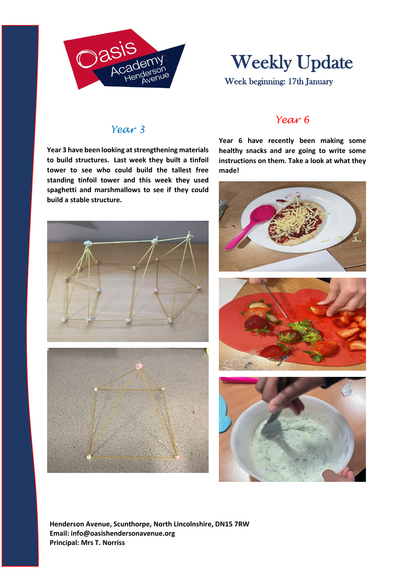

# Weekly Update

Week beginning: 17th January

### *Year 3*

**Year 3 have been looking at strengthening materials to build structures. Last week they built a tinfoil tower to see who could build the tallest free standing tinfoil tower and this week they used spaghetti and marshmallows to see if they could build a stable structure.** 





#### *Year 6*

**Year 6 have recently been making some healthy snacks and are going to write some instructions on them. Take a look at what they made!**



**Henderson Avenue, Scunthorpe, North Lincolnshire, DN15 7RW Email: info@oasishendersonavenue.org Principal: Mrs T. Norriss**